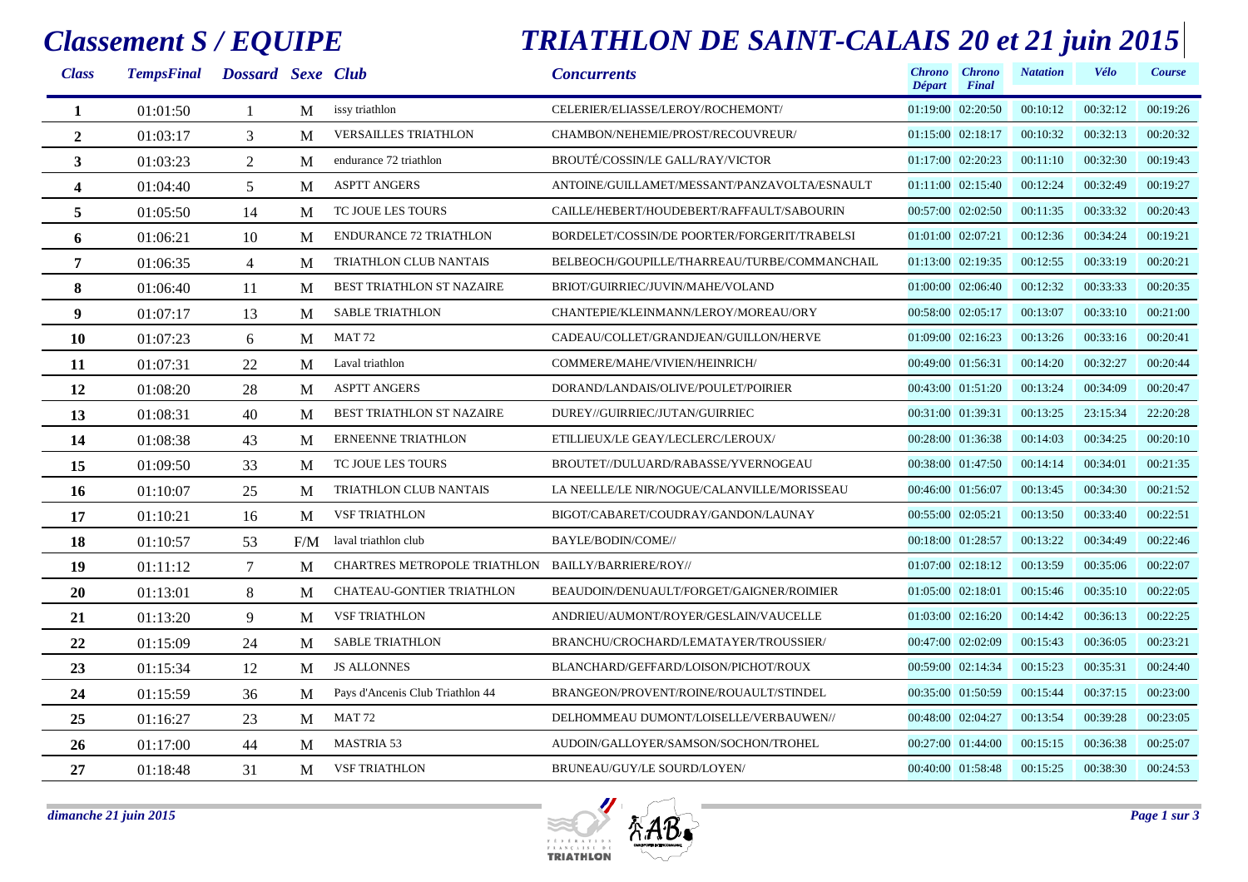### *Classement S / EQUIPE*

### *TRIATHLON DE SAINT-CALAIS 20 et 21 juin 2015*

| <b>Class</b>   | TempsFinal Dossard Sexe Club |                |     |                                                    | <b>Concurrents</b>                           | <b>Chrono</b><br>Départ | <b>Chrono</b><br>Final | <b>Natation</b> | Vélo     | Course   |
|----------------|------------------------------|----------------|-----|----------------------------------------------------|----------------------------------------------|-------------------------|------------------------|-----------------|----------|----------|
| 1              | 01:01:50                     |                | M   | issy triathlon                                     | CELERIER/ELIASSE/LEROY/ROCHEMONT/            |                         | 01:19:00 02:20:50      | 00:10:12        | 00:32:12 | 00:19:26 |
| $\overline{2}$ | 01:03:17                     | 3              | M   | <b>VERSAILLES TRIATHLON</b>                        | CHAMBON/NEHEMIE/PROST/RECOUVREUR/            |                         | $01:15:00$ $02:18:17$  | 00:10:32        | 00:32:13 | 00:20:32 |
| $\mathbf{3}$   | 01:03:23                     | 2              | M   | endurance 72 triathlon                             | BROUTÉ/COSSIN/LE GALL/RAY/VICTOR             |                         | 01:17:00 02:20:23      | 00:11:10        | 00:32:30 | 00:19:43 |
| 4              | 01:04:40                     | 5              | M   | <b>ASPTT ANGERS</b>                                | ANTOINE/GUILLAMET/MESSANT/PANZAVOLTA/ESNAULT |                         | 01:11:00 02:15:40      | 00:12:24        | 00:32:49 | 00:19:27 |
| 5              | 01:05:50                     | 14             | M   | TC JOUE LES TOURS                                  | CAILLE/HEBERT/HOUDEBERT/RAFFAULT/SABOURIN    |                         | 00:57:00 02:02:50      | 00:11:35        | 00:33:32 | 00:20:43 |
| 6              | 01:06:21                     | 10             | M   | <b>ENDURANCE 72 TRIATHLON</b>                      | BORDELET/COSSIN/DE POORTER/FORGERIT/TRABELSI | 01:01:00 02:07:21       |                        | 00:12:36        | 00:34:24 | 00:19:21 |
| 7              | 01:06:35                     | $\overline{4}$ | M   | TRIATHLON CLUB NANTAIS                             | BELBEOCH/GOUPILLE/THARREAU/TURBE/COMMANCHAIL |                         | 01:13:00 02:19:35      | 00:12:55        | 00:33:19 | 00:20:21 |
| 8              | 01:06:40                     | 11             | M   | <b>BEST TRIATHLON ST NAZAIRE</b>                   | BRIOT/GUIRRIEC/JUVIN/MAHE/VOLAND             |                         | 01:00:00 02:06:40      | 00:12:32        | 00:33:33 | 00:20:35 |
| 9              | 01:07:17                     | 13             | M   | <b>SABLE TRIATHLON</b>                             | CHANTEPIE/KLEINMANN/LEROY/MOREAU/ORY         |                         | 00:58:00 02:05:17      | 00:13:07        | 00:33:10 | 00:21:00 |
| 10             | 01:07:23                     | 6              | M   | MAT <sub>72</sub>                                  | CADEAU/COLLET/GRANDJEAN/GUILLON/HERVE        |                         | 01:09:00 02:16:23      | 00:13:26        | 00:33:16 | 00:20:41 |
| 11             | 01:07:31                     | 22             | M   | Laval triathlon                                    | COMMERE/MAHE/VIVIEN/HEINRICH/                | 00:49:00 01:56:31       |                        | 00:14:20        | 00:32:27 | 00:20:44 |
| 12             | 01:08:20                     | 28             | M   | <b>ASPTT ANGERS</b>                                | DORAND/LANDAIS/OLIVE/POULET/POIRIER          |                         | 00:43:00 01:51:20      | 00:13:24        | 00:34:09 | 00:20:47 |
| 13             | 01:08:31                     | 40             | M   | <b>BEST TRIATHLON ST NAZAIRE</b>                   | DUREY//GUIRRIEC/JUTAN/GUIRRIEC               |                         | 00:31:00 01:39:31      | 00:13:25        | 23:15:34 | 22:20:28 |
| 14             | 01:08:38                     | 43             | M   | <b>ERNEENNE TRIATHLON</b>                          | ETILLIEUX/LE GEAY/LECLERC/LEROUX/            |                         | 00:28:00 01:36:38      | 00:14:03        | 00:34:25 | 00:20:10 |
| 15             | 01:09:50                     | 33             | M   | TC JOUE LES TOURS                                  | BROUTET//DULUARD/RABASSE/YVERNOGEAU          |                         | 00:38:00 01:47:50      | 00:14:14        | 00:34:01 | 00:21:35 |
| 16             | 01:10:07                     | 25             | M   | TRIATHLON CLUB NANTAIS                             | LA NEELLE/LE NIR/NOGUE/CALANVILLE/MORISSEAU  |                         | 00:46:00 01:56:07      | 00:13:45        | 00:34:30 | 00:21:52 |
| 17             | 01:10:21                     | 16             | M   | <b>VSF TRIATHLON</b>                               | BIGOT/CABARET/COUDRAY/GANDON/LAUNAY          | 00:55:00 02:05:21       |                        | 00:13:50        | 00:33:40 | 00:22:51 |
| 18             | 01:10:57                     | 53             | F/M | laval triathlon club                               | BAYLE/BODIN/COME//                           |                         | 00:18:00 01:28:57      | 00:13:22        | 00:34:49 | 00:22:46 |
| 19             | 01:11:12                     | $\overline{7}$ | M   | CHARTRES METROPOLE TRIATHLON BAILLY/BARRIERE/ROY// |                                              |                         | 01:07:00 02:18:12      | 00:13:59        | 00:35:06 | 00:22:07 |
| 20             | 01:13:01                     | 8              | M   | <b>CHATEAU-GONTIER TRIATHLON</b>                   | BEAUDOIN/DENUAULT/FORGET/GAIGNER/ROIMIER     | 01:05:00 02:18:01       |                        | 00:15:46        | 00:35:10 | 00:22:05 |
| 21             | 01:13:20                     | 9              | M   | <b>VSF TRIATHLON</b>                               | ANDRIEU/AUMONT/ROYER/GESLAIN/VAUCELLE        |                         | 01:03:00 02:16:20      | 00:14:42        | 00:36:13 | 00:22:25 |
| 22             | 01:15:09                     | 24             | M   | <b>SABLE TRIATHLON</b>                             | BRANCHU/CROCHARD/LEMATAYER/TROUSSIER/        |                         | 00:47:00 02:02:09      | 00:15:43        | 00:36:05 | 00:23:21 |
| 23             | 01:15:34                     | 12             | M   | <b>JS ALLONNES</b>                                 | BLANCHARD/GEFFARD/LOISON/PICHOT/ROUX         |                         | 00:59:00 02:14:34      | 00:15:23        | 00:35:31 | 00:24:40 |
| 24             | 01:15:59                     | 36             | M   | Pays d'Ancenis Club Triathlon 44                   | BRANGEON/PROVENT/ROINE/ROUAULT/STINDEL       |                         | 00:35:00 01:50:59      | 00:15:44        | 00:37:15 | 00:23:00 |
| 25             | 01:16:27                     | 23             | M   | MAT 72                                             | DELHOMMEAU DUMONT/LOISELLE/VERBAUWEN//       |                         | 00:48:00 02:04:27      | 00:13:54        | 00:39:28 | 00:23:05 |
| 26             | 01:17:00                     | 44             | M   | <b>MASTRIA 53</b>                                  | AUDOIN/GALLOYER/SAMSON/SOCHON/TROHEL         |                         | 00:27:00 01:44:00      | 00:15:15        | 00:36:38 | 00:25:07 |
| 27             | 01:18:48                     | 31             | M   | <b>VSF TRIATHLON</b>                               | BRUNEAU/GUY/LE SOURD/LOYEN/                  |                         | 00:40:00 01:58:48      | 00:15:25        | 00:38:30 | 00:24:53 |

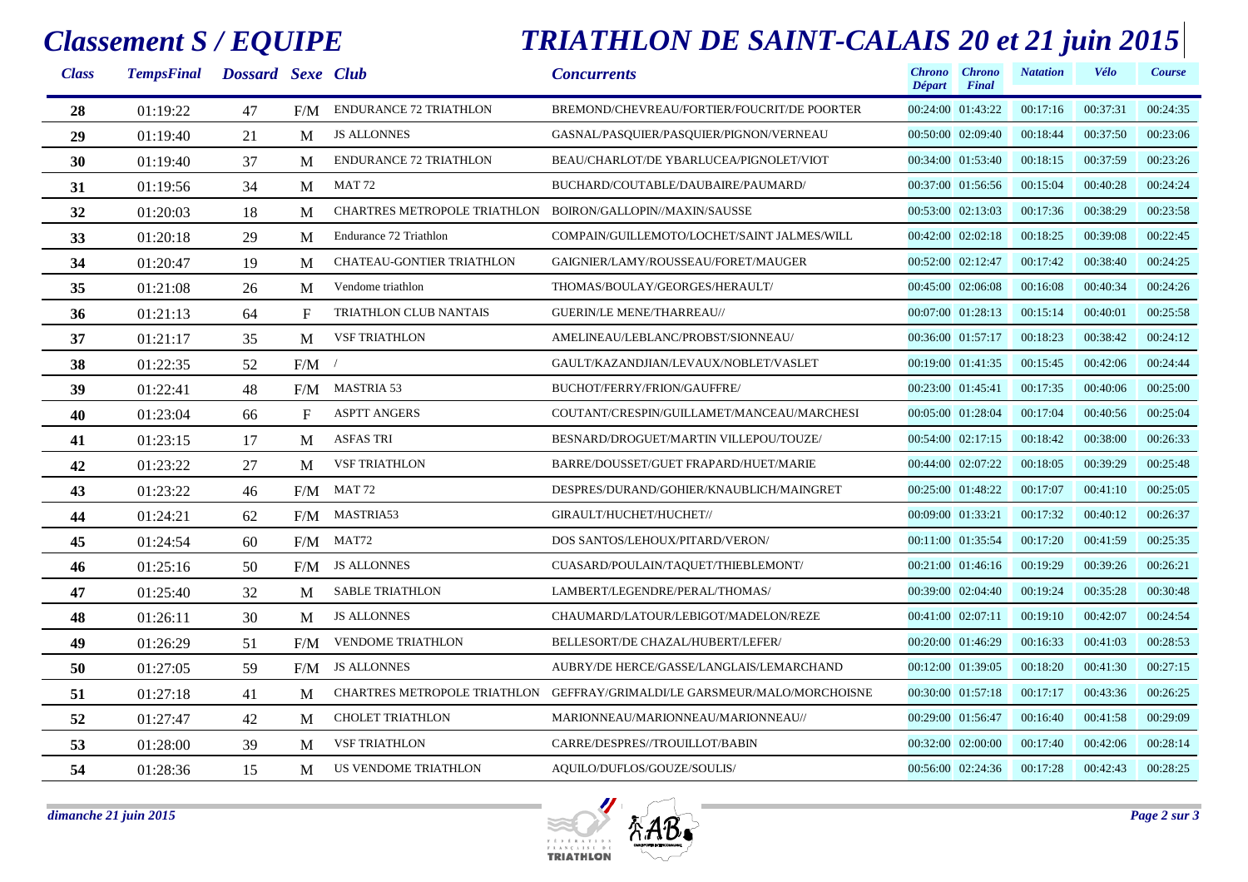#### *Classement S / EQUIPE*

# *TRIATHLON DE SAINT-CALAIS 20 et 21 juin 2015*

| <b>Class</b> | TempsFinal Dossard Sexe Club |    |              |                                                            | <b>Concurrents</b>                                                        | Départ            | Chrono Chrono<br>Final | <b>Natation</b> | <b>Vélo</b> | Course   |
|--------------|------------------------------|----|--------------|------------------------------------------------------------|---------------------------------------------------------------------------|-------------------|------------------------|-----------------|-------------|----------|
| 28           | 01:19:22                     | 47 | F/M          | <b>ENDURANCE 72 TRIATHLON</b>                              | BREMOND/CHEVREAU/FORTIER/FOUCRIT/DE POORTER                               |                   | 00:24:00 01:43:22      | 00:17:16        | 00:37:31    | 00:24:35 |
| 29           | 01:19:40                     | 21 | M            | <b>JS ALLONNES</b>                                         | GASNAL/PASQUIER/PASQUIER/PIGNON/VERNEAU                                   |                   | 00:50:00 02:09:40      | 00:18:44        | 00:37:50    | 00:23:06 |
| 30           | 01:19:40                     | 37 | M            | <b>ENDURANCE 72 TRIATHLON</b>                              | BEAU/CHARLOT/DE YBARLUCEA/PIGNOLET/VIOT                                   |                   | 00:34:00 01:53:40      | 00:18:15        | 00:37:59    | 00:23:26 |
| 31           | 01:19:56                     | 34 | M            | MAT 72                                                     | BUCHARD/COUTABLE/DAUBAIRE/PAUMARD/                                        |                   | 00:37:00 01:56:56      | 00:15:04        | 00:40:28    | 00:24:24 |
| 32           | 01:20:03                     | 18 | M            | CHARTRES METROPOLE TRIATHLON BOIRON/GALLOPIN//MAXIN/SAUSSE |                                                                           |                   | 00:53:00 02:13:03      | 00:17:36        | 00:38:29    | 00:23:58 |
| 33           | 01:20:18                     | 29 | M            | Endurance 72 Triathlon                                     | COMPAIN/GUILLEMOTO/LOCHET/SAINT JALMES/WILL                               |                   | 00:42:00 02:02:18      | 00:18:25        | 00:39:08    | 00:22:45 |
| 34           | 01:20:47                     | 19 | M            | CHATEAU-GONTIER TRIATHLON                                  | GAIGNIER/LAMY/ROUSSEAU/FORET/MAUGER                                       | 00:52:00 02:12:47 |                        | 00:17:42        | 00:38:40    | 00:24:25 |
| 35           | 01:21:08                     | 26 | M            | Vendome triathlon                                          | THOMAS/BOULAY/GEORGES/HERAULT/                                            |                   | 00:45:00 02:06:08      | 00:16:08        | 00:40:34    | 00:24:26 |
| 36           | 01:21:13                     | 64 | $F_{\rm}$    | TRIATHLON CLUB NANTAIS                                     | <b>GUERIN/LE MENE/THARREAU//</b>                                          |                   | 00:07:00 01:28:13      | 00:15:14        | 00:40:01    | 00:25:58 |
| 37           | 01:21:17                     | 35 | M            | <b>VSF TRIATHLON</b>                                       | AMELINEAU/LEBLANC/PROBST/SIONNEAU/                                        |                   | 00:36:00 01:57:17      | 00:18:23        | 00:38:42    | 00:24:12 |
| 38           | 01:22:35                     | 52 | F/M          |                                                            | GAULT/KAZANDJIAN/LEVAUX/NOBLET/VASLET                                     |                   | 00:19:00 01:41:35      | 00:15:45        | 00:42:06    | 00:24:44 |
| 39           | 01:22:41                     | 48 | F/M          | <b>MASTRIA 53</b>                                          | BUCHOT/FERRY/FRION/GAUFFRE/                                               | 00:23:00 01:45:41 |                        | 00:17:35        | 00:40:06    | 00:25:00 |
| 40           | 01:23:04                     | 66 | $\mathbf{F}$ | <b>ASPTT ANGERS</b>                                        | COUTANT/CRESPIN/GUILLAMET/MANCEAU/MARCHESI                                | 00:05:00 01:28:04 |                        | 00:17:04        | 00:40:56    | 00:25:04 |
| 41           | 01:23:15                     | 17 | M            | <b>ASFAS TRI</b>                                           | BESNARD/DROGUET/MARTIN VILLEPOU/TOUZE/                                    |                   | 00:54:00 02:17:15      | 00:18:42        | 00:38:00    | 00:26:33 |
| 42           | 01:23:22                     | 27 | M            | <b>VSF TRIATHLON</b>                                       | BARRE/DOUSSET/GUET FRAPARD/HUET/MARIE                                     | 00:44:00 02:07:22 |                        | 00:18:05        | 00:39:29    | 00:25:48 |
| 43           | 01:23:22                     | 46 | F/M          | MAT 72                                                     | DESPRES/DURAND/GOHIER/KNAUBLICH/MAINGRET                                  |                   | 00:25:00 01:48:22      | 00:17:07        | 00:41:10    | 00:25:05 |
| 44           | 01:24:21                     | 62 | F/M          | MASTRIA53                                                  | GIRAULT/HUCHET/HUCHET//                                                   | 00:09:00 01:33:21 |                        | 00:17:32        | 00:40:12    | 00:26:37 |
| 45           | 01:24:54                     | 60 | F/M          | MAT72                                                      | DOS SANTOS/LEHOUX/PITARD/VERON/                                           |                   | 00:11:00 01:35:54      | 00:17:20        | 00:41:59    | 00:25:35 |
| 46           | 01:25:16                     | 50 | F/M          | <b>JS ALLONNES</b>                                         | CUASARD/POULAIN/TAQUET/THIEBLEMONT/                                       |                   | 00:21:00 01:46:16      | 00:19:29        | 00:39:26    | 00:26:21 |
| 47           | 01:25:40                     | 32 | M            | <b>SABLE TRIATHLON</b>                                     | LAMBERT/LEGENDRE/PERAL/THOMAS/                                            |                   | 00:39:00 02:04:40      | 00:19:24        | 00:35:28    | 00:30:48 |
| 48           | 01:26:11                     | 30 | M            | <b>JS ALLONNES</b>                                         | CHAUMARD/LATOUR/LEBIGOT/MADELON/REZE                                      | 00:41:00 02:07:11 |                        | 00:19:10        | 00:42:07    | 00:24:54 |
| 49           | 01:26:29                     | 51 | F/M          | <b>VENDOME TRIATHLON</b>                                   | BELLESORT/DE CHAZAL/HUBERT/LEFER/                                         |                   | 00:20:00 01:46:29      | 00:16:33        | 00:41:03    | 00:28:53 |
| 50           | 01:27:05                     | 59 | F/M          | <b>JS ALLONNES</b>                                         | AUBRY/DE HERCE/GASSE/LANGLAIS/LEMARCHAND                                  |                   | 00:12:00 01:39:05      | 00:18:20        | 00:41:30    | 00:27:15 |
| 51           | 01:27:18                     | 41 | M            |                                                            | CHARTRES METROPOLE TRIATHLON GEFFRAY/GRIMALDI/LE GARSMEUR/MALO/MORCHOISNE |                   | 00:30:00 01:57:18      | 00:17:17        | 00:43:36    | 00:26:25 |
| 52           | 01:27:47                     | 42 | M            | <b>CHOLET TRIATHLON</b>                                    | MARIONNEAU/MARIONNEAU/MARIONNEAU//                                        |                   | 00:29:00 01:56:47      | 00:16:40        | 00:41:58    | 00:29:09 |
| 53           | 01:28:00                     | 39 | M            | <b>VSF TRIATHLON</b>                                       | CARRE/DESPRES//TROUILLOT/BABIN                                            |                   | 00:32:00 02:00:00      | 00:17:40        | 00:42:06    | 00:28:14 |
| 54           | 01:28:36                     | 15 | M            | US VENDOME TRIATHLON                                       | AQUILO/DUFLOS/GOUZE/SOULIS/                                               |                   | 00:56:00 02:24:36      | 00:17:28        | 00:42:43    | 00:28:25 |